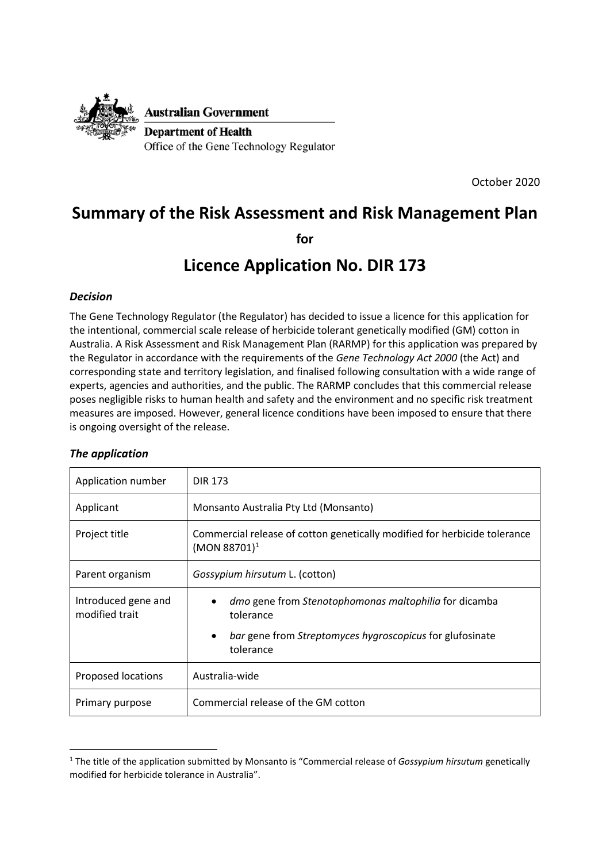

**Australian Government** 

**Department of Health** Office of the Gene Technology Regulator

October 2020

# **Summary of the Risk Assessment and Risk Management Plan**

**for**

# **Licence Application No. DIR 173**

## *Decision*

The Gene Technology Regulator (the Regulator) has decided to issue a licence for this application for the intentional, commercial scale release of herbicide tolerant genetically modified (GM) cotton in Australia. A Risk Assessment and Risk Management Plan (RARMP) for this application was prepared by the Regulator in accordance with the requirements of the *Gene Technology Act 2000* (the Act) and corresponding state and territory legislation, and finalised following consultation with a wide range of experts, agencies and authorities, and the public. The RARMP concludes that this commercial release poses negligible risks to human health and safety and the environment and no specific risk treatment measures are imposed. However, general licence conditions have been imposed to ensure that there is ongoing oversight of the release.

#### *The application*

 $\overline{a}$ 

| Application number                    | <b>DIR 173</b>                                                                                                                                           |
|---------------------------------------|----------------------------------------------------------------------------------------------------------------------------------------------------------|
| Applicant                             | Monsanto Australia Pty Ltd (Monsanto)                                                                                                                    |
| Project title                         | Commercial release of cotton genetically modified for herbicide tolerance<br>$(MON 88701)^1$                                                             |
| Parent organism                       | <i>Gossypium hirsutum L. (cotton)</i>                                                                                                                    |
| Introduced gene and<br>modified trait | dmo gene from Stenotophomonas maltophilia for dicamba<br>tolerance<br>bar gene from Streptomyces hygroscopicus for glufosinate<br>$\bullet$<br>tolerance |
| Proposed locations                    | Australia-wide                                                                                                                                           |
| Primary purpose                       | Commercial release of the GM cotton                                                                                                                      |

<span id="page-0-0"></span><sup>1</sup> The title of the application submitted by Monsanto is "Commercial release of *Gossypium hirsutum* genetically modified for herbicide tolerance in Australia".